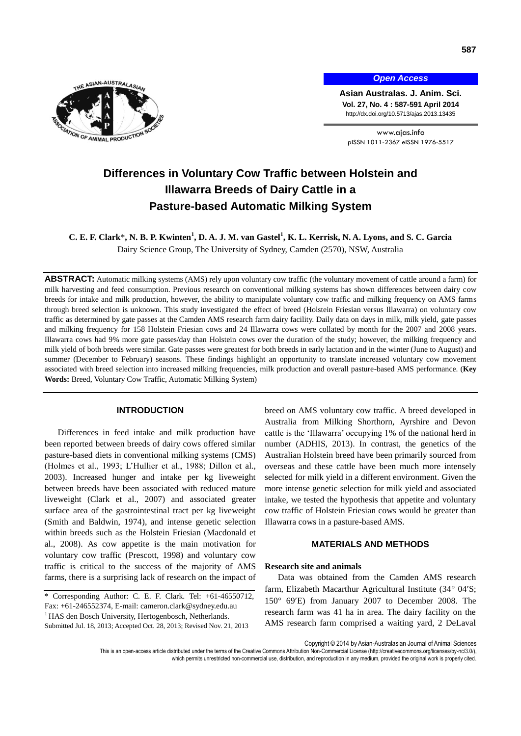

*Open Access*

**Asian Australas. J. Anim. Sci. Vol. 27, No. 4 : 587-591 April 2014** http://dx.doi.org/10.5713/ajas.2013.13435

www.ajas.info pISSN 1011-2367 eISSN 1976-5517

# **Differences in Voluntary Cow Traffic between Holstein and Illawarra Breeds of Dairy Cattle in a Pasture-based Automatic Milking System**

**C. E. F. Clark**\***, N. B. P. Kwinten<sup>1</sup> , D. A. J. M. van Gastel<sup>1</sup> , K. L. Kerrisk, N. A. Lyons, and S. C. Garcia** Dairy Science Group, The University of Sydney, Camden (2570), NSW, Australia

**ABSTRACT:** Automatic milking systems (AMS) rely upon voluntary cow traffic (the voluntary movement of cattle around a farm) for milk harvesting and feed consumption. Previous research on conventional milking systems has shown differences between dairy cow breeds for intake and milk production, however, the ability to manipulate voluntary cow traffic and milking frequency on AMS farms through breed selection is unknown. This study investigated the effect of breed (Holstein Friesian versus Illawarra) on voluntary cow traffic as determined by gate passes at the Camden AMS research farm dairy facility. Daily data on days in milk, milk yield, gate passes and milking frequency for 158 Holstein Friesian cows and 24 Illawarra cows were collated by month for the 2007 and 2008 years. Illawarra cows had 9% more gate passes/day than Holstein cows over the duration of the study; however, the milking frequency and milk yield of both breeds were similar. Gate passes were greatest for both breeds in early lactation and in the winter (June to August) and summer (December to February) seasons. These findings highlight an opportunity to translate increased voluntary cow movement associated with breed selection into increased milking frequencies, milk production and overall pasture-based AMS performance. (**Key Words:** Breed, Voluntary Cow Traffic, Automatic Milking System)

## **INTRODUCTION**

Differences in feed intake and milk production have been reported between breeds of dairy cows offered similar pasture-based diets in conventional milking systems (CMS) (Holmes et al., 1993; L'Hullier et al., 1988; Dillon et al., 2003). Increased hunger and intake per kg liveweight between breeds have been associated with reduced mature liveweight (Clark et al., 2007) and associated greater surface area of the gastrointestinal tract per kg liveweight (Smith and Baldwin, 1974), and intense genetic selection within breeds such as the Holstein Friesian (Macdonald et al., 2008). As cow appetite is the main motivation for voluntary cow traffic (Prescott, 1998) and voluntary cow traffic is critical to the success of the majority of AMS farms, there is a surprising lack of research on the impact of

\* Corresponding Author: C. E. F. Clark. Tel: +61-46550712, Fax: +61-246552374, E-mail: cameron.clark@sydney.edu.au <sup>1</sup> HAS den Bosch University, Hertogenbosch, Netherlands. Submitted Jul. 18, 2013; Accepted Oct. 28, 2013; Revised Nov. 21, 2013

breed on AMS voluntary cow traffic. A breed developed in Australia from Milking Shorthorn, Ayrshire and Devon cattle is the 'Illawarra' occupying 1% of the national herd in number (ADHIS, 2013). In contrast, the genetics of the Australian Holstein breed have been primarily sourced from overseas and these cattle have been much more intensely selected for milk yield in a different environment. Given the more intense genetic selection for milk yield and associated intake, we tested the hypothesis that appetite and voluntary cow traffic of Holstein Friesian cows would be greater than Illawarra cows in a pasture-based AMS.

#### **MATERIALS AND METHODS**

#### **Research site and animals**

Data was obtained from the Camden AMS research farm, Elizabeth Macarthur Agricultural Institute (34° 04'S;  $150^{\circ}$  69'E) from January 2007 to December 2008. The research farm was 41 ha in area. The dairy facility on the AMS research farm comprised a waiting yard, 2 DeLaval

This is an open-access article distributed under the terms of the Creative Commons Attribution Non-Commercial License [\(http://creativecommons.org/licenses/by-nc/3.0/\),](http://creativecommons.org/licenses/by-nc/3.0/) which permits unrestricted non-commercial use, distribution, and reproduction in any medium, provided the original work is properly cited

Copyright © 2014 by Asian-Australasian Journal of Animal Sciences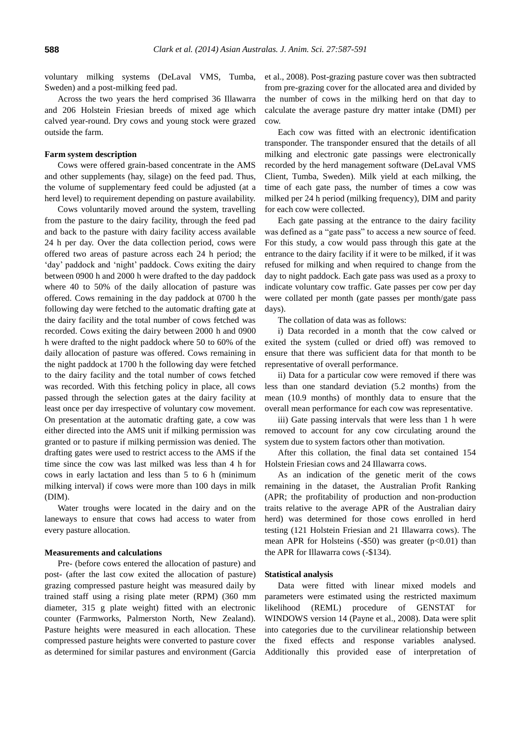voluntary milking systems (DeLaval VMS, Tumba, Sweden) and a post-milking feed pad.

Across the two years the herd comprised 36 Illawarra and 206 Holstein Friesian breeds of mixed age which calved year-round. Dry cows and young stock were grazed outside the farm.

#### **Farm system description**

Cows were offered grain-based concentrate in the AMS and other supplements (hay, silage) on the feed pad. Thus, the volume of supplementary feed could be adjusted (at a herd level) to requirement depending on pasture availability.

Cows voluntarily moved around the system, travelling from the pasture to the dairy facility, through the feed pad and back to the pasture with dairy facility access available 24 h per day. Over the data collection period, cows were offered two areas of pasture across each 24 h period; the 'day' paddock and 'night' paddock. Cows exiting the dairy between 0900 h and 2000 h were drafted to the day paddock where 40 to 50% of the daily allocation of pasture was offered. Cows remaining in the day paddock at 0700 h the following day were fetched to the automatic drafting gate at the dairy facility and the total number of cows fetched was recorded. Cows exiting the dairy between 2000 h and 0900 h were drafted to the night paddock where 50 to 60% of the daily allocation of pasture was offered. Cows remaining in the night paddock at 1700 h the following day were fetched to the dairy facility and the total number of cows fetched was recorded. With this fetching policy in place, all cows passed through the selection gates at the dairy facility at least once per day irrespective of voluntary cow movement. On presentation at the automatic drafting gate, a cow was either directed into the AMS unit if milking permission was granted or to pasture if milking permission was denied. The drafting gates were used to restrict access to the AMS if the time since the cow was last milked was less than 4 h for cows in early lactation and less than 5 to 6 h (minimum milking interval) if cows were more than 100 days in milk (DIM).

Water troughs were located in the dairy and on the laneways to ensure that cows had access to water from every pasture allocation.

## **Measurements and calculations**

Pre- (before cows entered the allocation of pasture) and post- (after the last cow exited the allocation of pasture) grazing compressed pasture height was measured daily by trained staff using a rising plate meter (RPM) (360 mm diameter, 315 g plate weight) fitted with an electronic counter (Farmworks, Palmerston North, New Zealand). Pasture heights were measured in each allocation. These compressed pasture heights were converted to pasture cover as determined for similar pastures and environment (Garcia

et al., 2008). Post-grazing pasture cover was then subtracted from pre-grazing cover for the allocated area and divided by the number of cows in the milking herd on that day to calculate the average pasture dry matter intake (DMI) per cow.

Each cow was fitted with an electronic identification transponder. The transponder ensured that the details of all milking and electronic gate passings were electronically recorded by the herd management software (DeLaval VMS Client, Tumba, Sweden). Milk yield at each milking, the time of each gate pass, the number of times a cow was milked per 24 h period (milking frequency), DIM and parity for each cow were collected.

Each gate passing at the entrance to the dairy facility was defined as a "gate pass" to access a new source of feed. For this study, a cow would pass through this gate at the entrance to the dairy facility if it were to be milked, if it was refused for milking and when required to change from the day to night paddock. Each gate pass was used as a proxy to indicate voluntary cow traffic. Gate passes per cow per day were collated per month (gate passes per month/gate pass days).

The collation of data was as follows:

i) Data recorded in a month that the cow calved or exited the system (culled or dried off) was removed to ensure that there was sufficient data for that month to be representative of overall performance.

ii) Data for a particular cow were removed if there was less than one standard deviation (5.2 months) from the mean (10.9 months) of monthly data to ensure that the overall mean performance for each cow was representative.

iii) Gate passing intervals that were less than 1 h were removed to account for any cow circulating around the system due to system factors other than motivation.

After this collation, the final data set contained 154 Holstein Friesian cows and 24 Illawarra cows.

As an indication of the genetic merit of the cows remaining in the dataset, the Australian Profit Ranking (APR; the profitability of production and non-production traits relative to the average APR of the Australian dairy herd) was determined for those cows enrolled in herd testing (121 Holstein Friesian and 21 Illawarra cows). The mean APR for Holsteins  $(-\$50)$  was greater  $(p<0.01)$  than the APR for Illawarra cows (-\$134).

#### **Statistical analysis**

Data were fitted with linear mixed models and parameters were estimated using the restricted maximum likelihood (REML) procedure of GENSTAT for WINDOWS version 14 (Payne et al., 2008). Data were split into categories due to the curvilinear relationship between the fixed effects and response variables analysed. Additionally this provided ease of interpretation of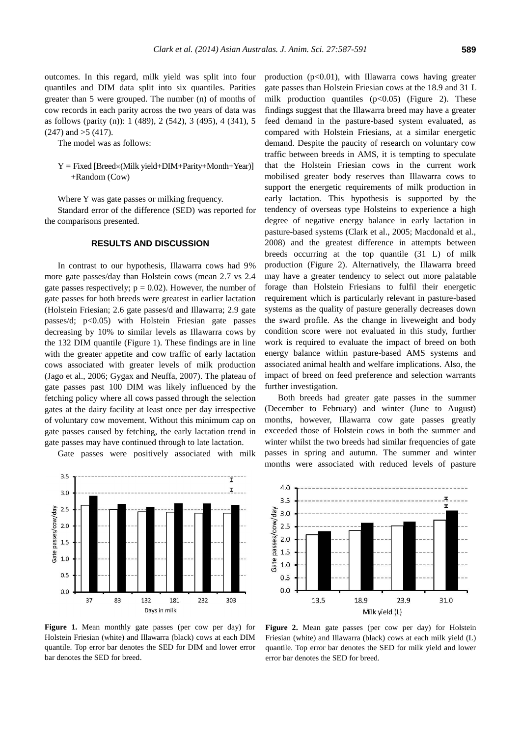outcomes. In this regard, milk yield was split into four quantiles and DIM data split into six quantiles. Parities greater than 5 were grouped. The number (n) of months of cow records in each parity across the two years of data was as follows (parity (n)): 1 (489), 2 (542), 3 (495), 4 (341), 5  $(247)$  and  $>5$   $(417)$ .

The model was as follows:

 $Y = Fixed [Breed \times (Milk yield + DIM + Parity + Month + Year)]$ +Random (Cow)

Where Y was gate passes or milking frequency.

Standard error of the difference (SED) was reported for the comparisons presented.

## **RESULTS AND DISCUSSION**

In contrast to our hypothesis, Illawarra cows had 9% more gate passes/day than Holstein cows (mean 2.7 vs 2.4 gate passes respectively;  $p = 0.02$ ). However, the number of gate passes for both breeds were greatest in earlier lactation (Holstein Friesian; 2.6 gate passes/d and Illawarra; 2.9 gate passes/d;  $p<0.05$ ) with Holstein Friesian gate passes decreasing by 10% to similar levels as Illawarra cows by the 132 DIM quantile (Figure 1). These findings are in line with the greater appetite and cow traffic of early lactation cows associated with greater levels of milk production (Jago et al., 2006; Gygax and Neuffa, 2007). The plateau of gate passes past 100 DIM was likely influenced by the fetching policy where all cows passed through the selection gates at the dairy facility at least once per day irrespective of voluntary cow movement. Without this minimum cap on gate passes caused by fetching, the early lactation trend in gate passes may have continued through to late lactation.

Gate passes were positively associated with milk



production (p<0.01), with Illawarra cows having greater gate passes than Holstein Friesian cows at the 18.9 and 31 L milk production quantiles  $(p<0.05)$  (Figure 2). These findings suggest that the Illawarra breed may have a greater feed demand in the pasture-based system evaluated, as compared with Holstein Friesians, at a similar energetic demand. Despite the paucity of research on voluntary cow traffic between breeds in AMS, it is tempting to speculate that the Holstein Friesian cows in the current work mobilised greater body reserves than Illawarra cows to support the energetic requirements of milk production in early lactation. This hypothesis is supported by the tendency of overseas type Holsteins to experience a high degree of negative energy balance in early lactation in pasture-based systems (Clark et al., 2005; Macdonald et al., 2008) and the greatest difference in attempts between breeds occurring at the top quantile (31 L) of milk production (Figure 2). Alternatively, the Illawarra breed may have a greater tendency to select out more palatable forage than Holstein Friesians to fulfil their energetic requirement which is particularly relevant in pasture-based systems as the quality of pasture generally decreases down the sward profile. As the change in liveweight and body condition score were not evaluated in this study, further work is required to evaluate the impact of breed on both energy balance within pasture-based AMS systems and associated animal health and welfare implications. Also, the impact of breed on feed preference and selection warrants further investigation.

Both breeds had greater gate passes in the summer (December to February) and winter (June to August) months, however, Illawarra cow gate passes greatly exceeded those of Holstein cows in both the summer and winter whilst the two breeds had similar frequencies of gate passes in spring and autumn. The summer and winter months were associated with reduced levels of pasture



**Figure 1.** Mean monthly gate passes (per cow per day) for Holstein Friesian (white) and Illawarra (black) cows at each DIM quantile. Top error bar denotes the SED for DIM and lower error bar denotes the SED for breed.

Figure 2. Mean gate passes (per cow per day) for Holstein Friesian (white) and Illawarra (black) cows at each milk yield (L) quantile. Top error bar denotes the SED for milk yield and lower error bar denotes the SED for breed.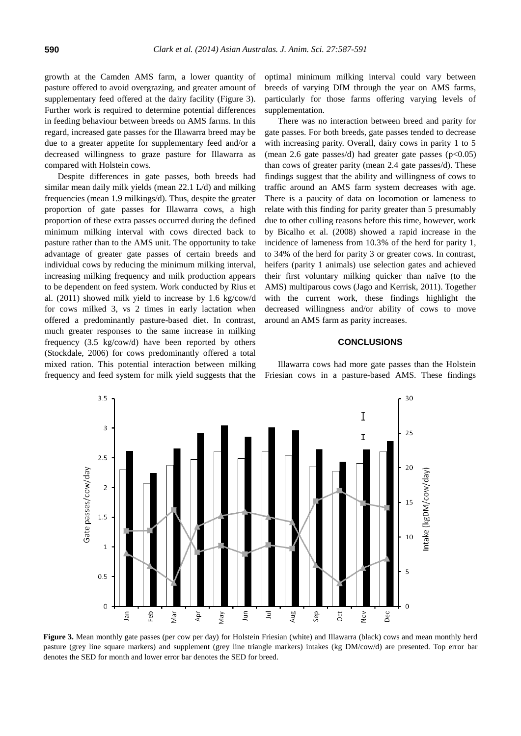growth at the Camden AMS farm, a lower quantity of pasture offered to avoid overgrazing, and greater amount of supplementary feed offered at the dairy facility (Figure 3). Further work is required to determine potential differences in feeding behaviour between breeds on AMS farms. In this regard, increased gate passes for the Illawarra breed may be due to a greater appetite for supplementary feed and/or a decreased willingness to graze pasture for Illawarra as compared with Holstein cows.

Despite differences in gate passes, both breeds had similar mean daily milk yields (mean 22.1 L/d) and milking frequencies (mean 1.9 milkings/d). Thus, despite the greater proportion of gate passes for Illawarra cows, a high proportion of these extra passes occurred during the defined minimum milking interval with cows directed back to pasture rather than to the AMS unit. The opportunity to take advantage of greater gate passes of certain breeds and individual cows by reducing the minimum milking interval, increasing milking frequency and milk production appears to be dependent on feed system. Work conducted by Rius et al. (2011) showed milk yield to increase by 1.6 kg/cow/d for cows milked 3, vs 2 times in early lactation when offered a predominantly pasture-based diet. In contrast, much greater responses to the same increase in milking frequency (3.5 kg/cow/d) have been reported by others (Stockdale, 2006) for cows predominantly offered a total mixed ration. This potential interaction between milking frequency and feed system for milk yield suggests that the optimal minimum milking interval could vary between breeds of varying DIM through the year on AMS farms, particularly for those farms offering varying levels of supplementation.

There was no interaction between breed and parity for gate passes. For both breeds, gate passes tended to decrease with increasing parity. Overall, dairy cows in parity 1 to 5 (mean 2.6 gate passes/d) had greater gate passes  $(p<0.05)$ than cows of greater parity (mean 2.4 gate passes/d). These findings suggest that the ability and willingness of cows to traffic around an AMS farm system decreases with age. There is a paucity of data on locomotion or lameness to relate with this finding for parity greater than 5 presumably due to other culling reasons before this time, however, work by Bicalho et al. (2008) showed a rapid increase in the incidence of lameness from 10.3% of the herd for parity 1, to 34% of the herd for parity 3 or greater cows. In contrast, heifers (parity 1 animals) use selection gates and achieved their first voluntary milking quicker than naïve (to the AMS) multiparous cows (Jago and Kerrisk, 2011). Together with the current work, these findings highlight the decreased willingness and/or ability of cows to move around an AMS farm as parity increases.

## **CONCLUSIONS**

Illawarra cows had more gate passes than the Holstein Friesian cows in a pasture-based AMS. These findings



Figure 3. Mean monthly gate passes (per cow per day) for Holstein Friesian (white) and Illawarra (black) cows and mean monthly herd pasture (grey line square markers) and supplement (grey line triangle markers) intakes (kg DM/cow/d) are presented. Top error bar denotes the SED for month and lower error bar denotes the SED for breed.